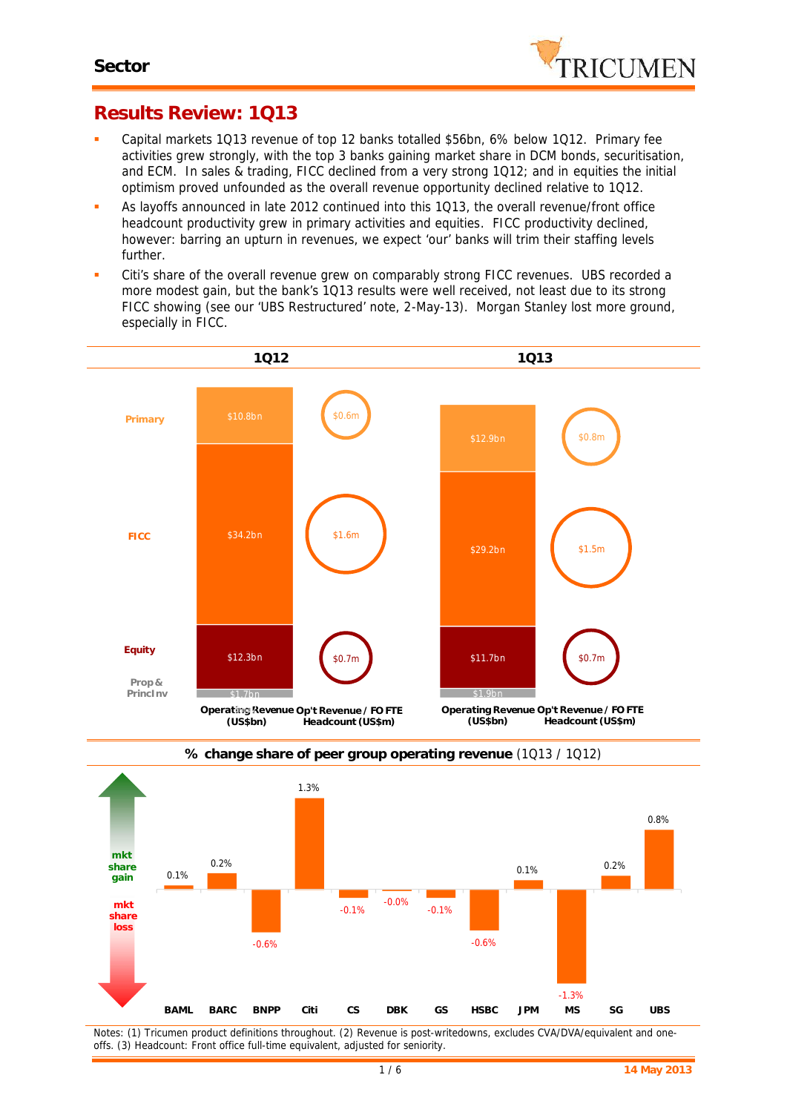

# **Results Review: 1Q13**

- Capital markets 1Q13 revenue of top 12 banks totalled \$56bn, 6% below 1Q12. Primary fee activities grew strongly, with the top 3 banks gaining market share in DCM bonds, securitisation, and ECM. In sales & trading, FICC declined from a very strong 1Q12; and in equities the initial optimism proved unfounded as the overall revenue opportunity declined relative to 1Q12.
- As layoffs announced in late 2012 continued into this 1Q13, the overall revenue/front office headcount productivity grew in primary activities and equities. FICC productivity declined, however: barring an upturn in revenues, we expect 'our' banks will trim their staffing levels further.
- Citi's share of the overall revenue grew on comparably strong FICC revenues. UBS recorded a more modest gain, but the bank's 1Q13 results were well received, not least due to its strong FICC showing (see our 'UBS Restructured' note, 2-May-13). Morgan Stanley lost more ground, especially in FICC.





**% change share of peer group operating revenue** (1Q13 / 1Q12)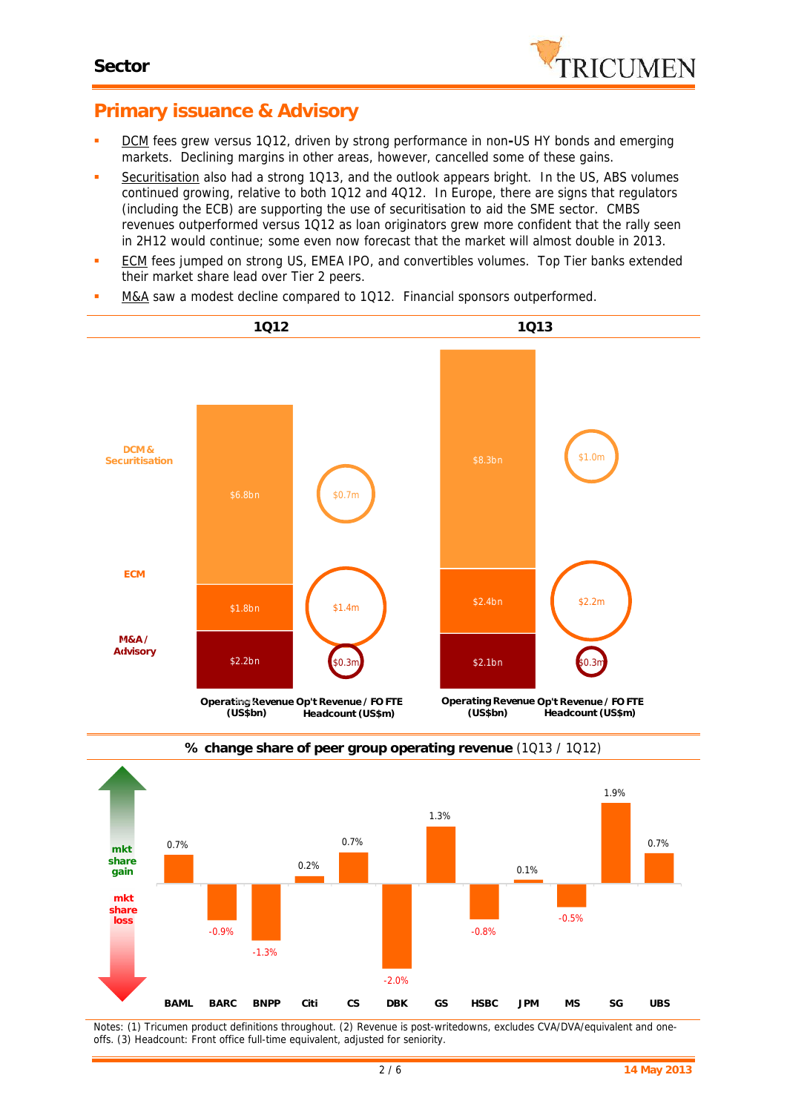

## **Primary issuance & Advisory**

- DCM fees grew versus 1Q12, driven by strong performance in non**-**US HY bonds and emerging markets. Declining margins in other areas, however, cancelled some of these gains.
- Securitisation also had a strong 1Q13, and the outlook appears bright. In the US, ABS volumes continued growing, relative to both 1Q12 and 4Q12. In Europe, there are signs that regulators (including the ECB) are supporting the use of securitisation to aid the SME sector. CMBS revenues outperformed versus 1Q12 as loan originators grew more confident that the rally seen in 2H12 would continue; some even now forecast that the market will almost double in 2013.
- **ECM** fees jumped on strong US, EMEA IPO, and convertibles volumes. Top Tier banks extended their market share lead over Tier 2 peers.
- M&A saw a modest decline compared to 1Q12. Financial sponsors outperformed.





#### **% change share of peer group operating revenue** (1Q13 / 1Q12)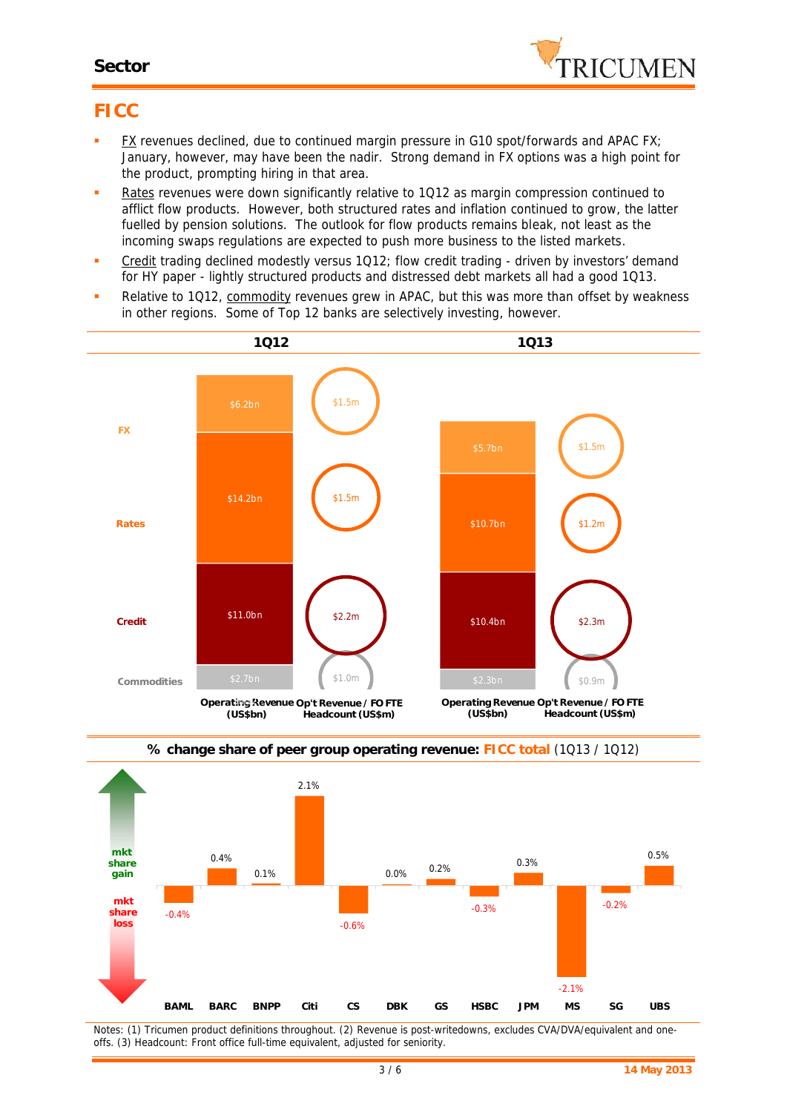

# **FICC**

- FX revenues declined, due to continued margin pressure in G10 spot/forwards and APAC FX; January, however, may have been the nadir. Strong demand in FX options was a high point for the product, prompting hiring in that area.
- Rates revenues were down significantly relative to 1Q12 as margin compression continued to afflict flow products. However, both structured rates and inflation continued to grow, the latter fuelled by pension solutions. The outlook for flow products remains bleak, not least as the incoming swaps regulations are expected to push more business to the listed markets.
- Credit trading declined modestly versus 1Q12; flow credit trading driven by investors' demand for HY paper - lightly structured products and distressed debt markets all had a good 1Q13.
- Relative to 1Q12, commodity revenues grew in APAC, but this was more than offset by weakness in other regions. Some of Top 12 banks are selectively investing, however.





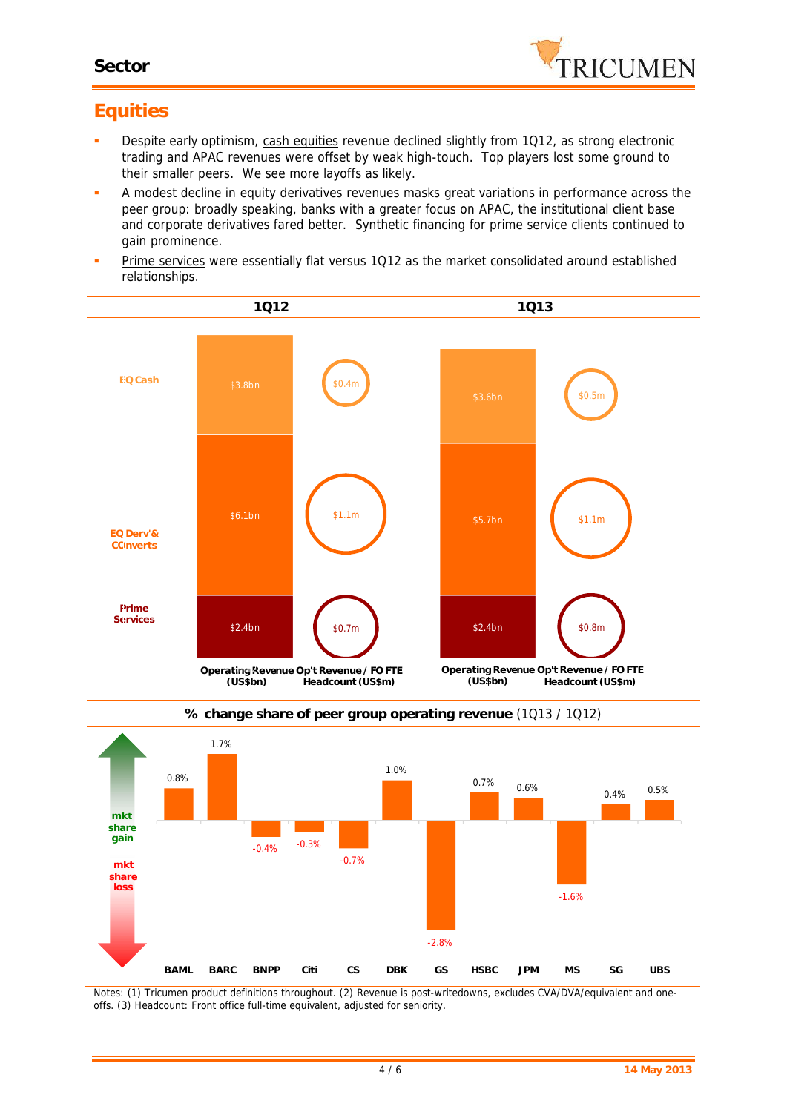

# **Equities**

- Despite early optimism, cash equities revenue declined slightly from 1Q12, as strong electronic trading and APAC revenues were offset by weak high-touch. Top players lost some ground to their smaller peers. We see more layoffs as likely.
- **A** modest decline in equity derivatives revenues masks great variations in performance across the peer group: broadly speaking, banks with a greater focus on APAC, the institutional client base and corporate derivatives fared better. Synthetic financing for prime service clients continued to gain prominence.
- Prime services were essentially flat versus 1Q12 as the market consolidated around established relationships.





**% change share of peer group operating revenue** (1Q13 / 1Q12)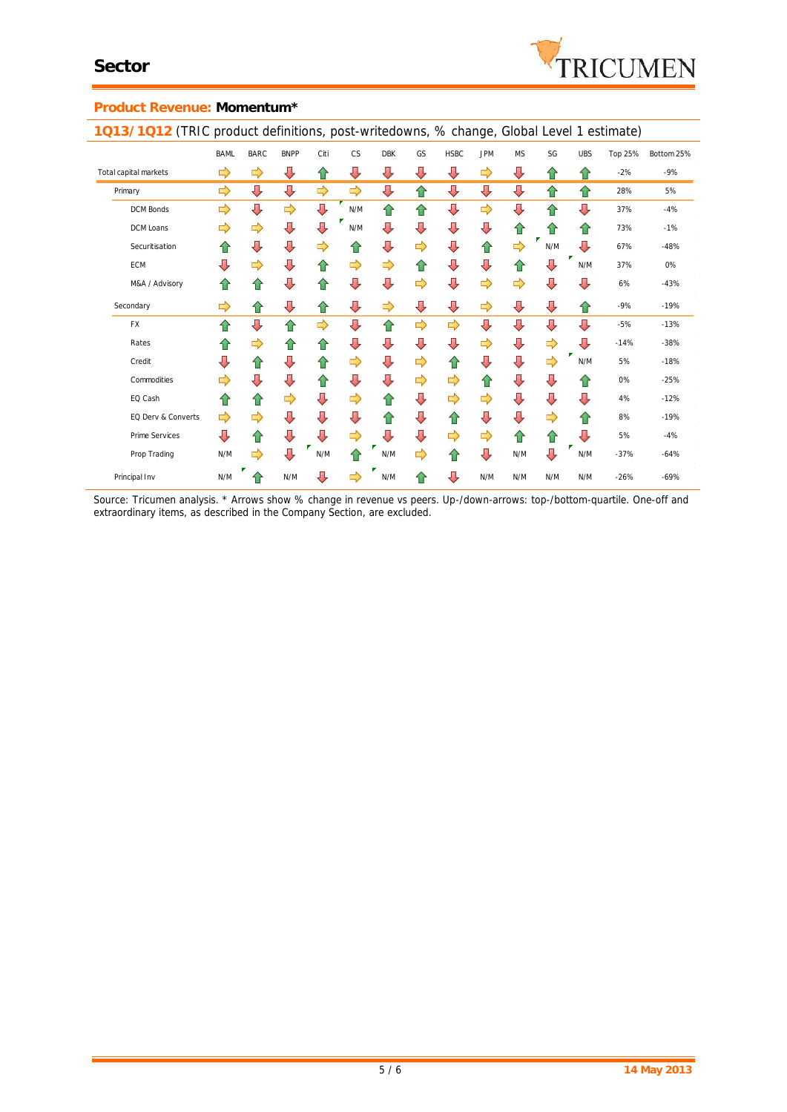

#### **Product Revenue: Momentum\***

**1Q13/1Q12** (TRIC product definitions, post-writedowns, % change, Global Level 1 estimate) BAML BARC BNPP Citi CS DBK GS HSBC JPM MS SG UBS Top 25% Bottom 25% Total capital markets -2% -9% Primary 28% 5% DCM Bonds N/M 37% -4% DCM Loans N/M 73% -1% ż Securitisation  $\begin{array}{ccc} \uparrow \uparrow & \downarrow & \downarrow & \downarrow \end{array}$   $\begin{array}{ccc} \uparrow \uparrow & \downarrow & \downarrow & \uparrow \end{array}$   $\begin{array}{ccc} \downarrow \downarrow & \uparrow & \downarrow & \downarrow \end{array}$  N/M  $\begin{array}{ccc} \downarrow \downarrow & \downarrow & \downarrow \end{array}$  -48% ECM N/M 37% 0% M&A / Advisory 6% -43% Secondary -9% -19% FX -5% -13% Rates -14% -38% Credit N/M 5% -18% Commodities 0% -25% EQ Cash  $\leftarrow$  4% -12% EQ Derv & Converts 8% -19% Prime Services  $\begin{array}{ccc} \downarrow \downarrow & \uparrow \uparrow & \downarrow \downarrow & \downarrow \downarrow & \downarrow \downarrow & \downarrow \downarrow & \downarrow \downarrow & \downarrow \downarrow & \downarrow \downarrow & \downarrow \downarrow & \downarrow \downarrow & \downarrow \downarrow & \downarrow \downarrow & \downarrow \downarrow & \downarrow \downarrow & \downarrow \downarrow & \downarrow \downarrow & \downarrow \downarrow & \downarrow \downarrow & \downarrow \downarrow & \downarrow \downarrow & \downarrow \downarrow & \downarrow \downarrow & \downarrow \downarrow & \downarrow \downarrow & \downarrow \downarrow & \downarrow \downarrow & \downarrow \downarrow & \down$ Prop Trading N/M N/M N/M N/M N/M -37% -64% Principal Inv N/M  $\begin{array}{|c|c|c|c|c|c|}\n\hline\n\end{array}$  N/M  $\begin{array}{|c|c|c|c|c|}\n\hline\n\end{array}$  N/M  $\begin{array}{|c|c|c|c|}\n\hline\n\end{array}$  N/M  $\begin{array}{|c|c|c|}\n\hline\n\end{array}$  N/M  $\begin{array}{|c|c|c|}\n\hline\n\end{array}$  N/M  $\begin{array}{|c|c|c|}\n\hline\n\end{array}$  N/M  $\begin{array}{|c|c|$ 

*Source: Tricumen analysis. \* Arrows show % change in revenue vs peers. Up-/down-arrows: top-/bottom-quartile. One-off and extraordinary items, as described in the Company Section, are excluded.*